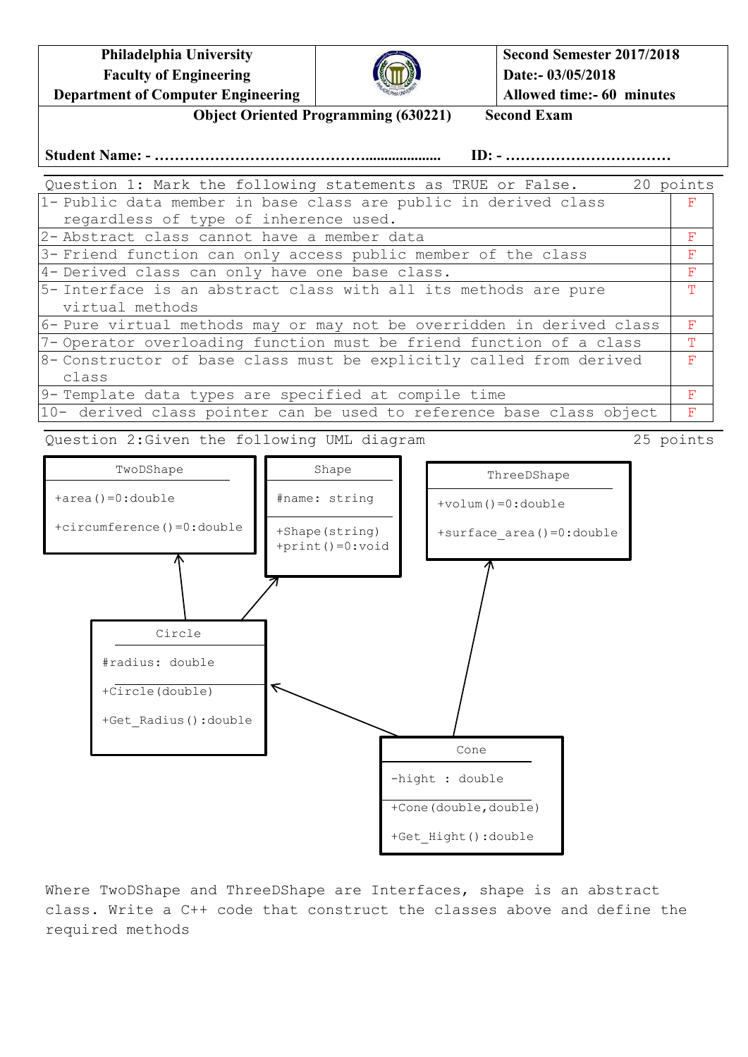**Philadelphia University Faculty of Engineering Department of Computer Engineering**



**Second Semester 2017/2018 Date:- 03/05/2018 Allowed time:- 60 minutes**

**Object Oriented Programming (630221) Second Exam**

**Student Name: - …………………………………….................... ID: - ……………………………**

| Question 1: Mark the following statements as TRUE or False.           | 20 points |  |
|-----------------------------------------------------------------------|-----------|--|
| 1- Public data member in base class are public in derived class       | F         |  |
| regardless of type of inherence used.                                 |           |  |
| 2-Abstract class cannot have a member data                            |           |  |
| 3- Friend function can only access public member of the class         |           |  |
| 4- Derived class can only have one base class.                        | F         |  |
| 5- Interface is an abstract class with all its methods are pure       | m.        |  |
| virtual methods                                                       |           |  |
| 6- Pure virtual methods may or may not be overridden in derived class |           |  |
| 7-Operator overloading function must be friend function of a class    |           |  |
| 8- Constructor of base class must be explicitly called from derived   |           |  |
| class                                                                 |           |  |
| 9- Template data types are specified at compile time                  |           |  |
| 10- derived class pointer can be used to reference base class object  | F         |  |

Question 2:Given the following UML diagram 25 points



Where TwoDShape and ThreeDShape are Interfaces, shape is an abstract class. Write a C++ code that construct the classes above and define the required methods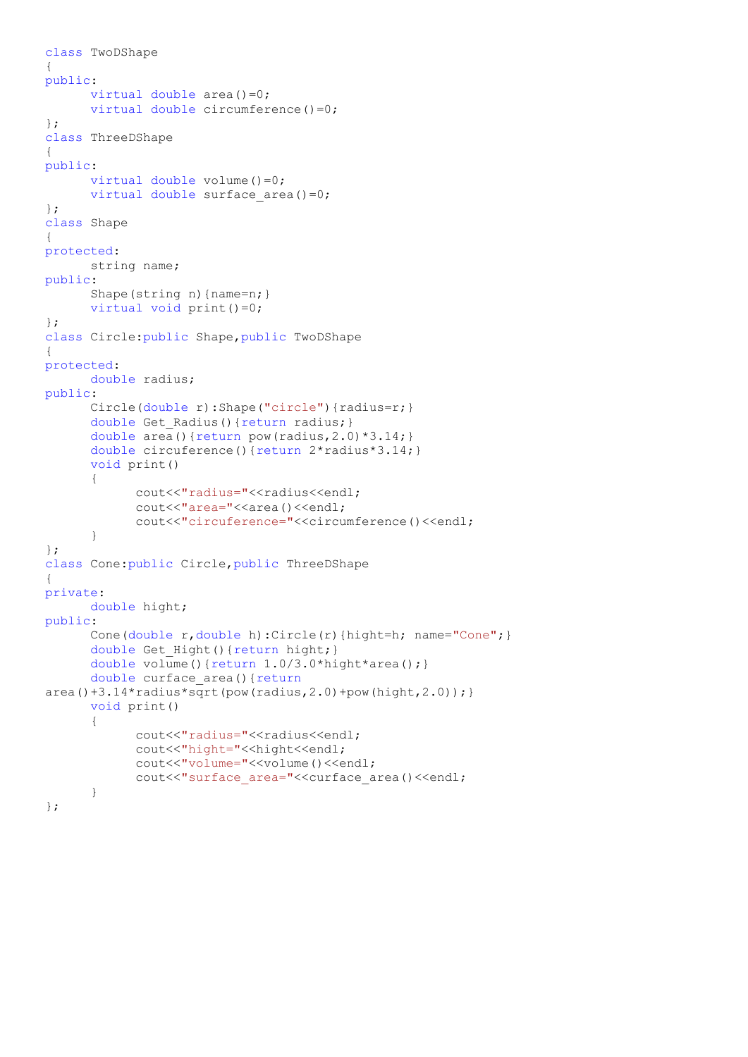```
class TwoDShape
{
public:
     virtual double area()=0;
     virtual double circumference()=0;
};
class ThreeDShape
{
public:
     virtual double volume() = 0;virtual double surface area()=0;
};
class Shape
{
protected:
     string name;
public:
      Shape(string n) {name=n; }
     virtual void print()=0;
};
class Circle:public Shape,public TwoDShape
{
protected:
     double radius;
public:
      Circle(double r):Shape("circle"){radius=r;}
      double Get Radius() {return radius; }
      double area() {return pow(radius, 2.0) *3.14; }
      double circuference(){return 2*radius*3.14;}
      void print()
      {
            cout<<"radius="<<radius<<endl;
            cout<<"area="<<area()<<endl;
            cout<<"circuference="<<circumference()<<endl;
      }
};
class Cone:public Circle,public ThreeDShape
{
private:
     double hight;
public:
      Cone(double r,double h):Circle(r){hight=h; name="Cone";}
      double Get Hight(){return hight;}
      double volume(){return 1.0/3.0*hight*area();}
      double curface_area(){return
area() +3.14*radius*sqrt(pow(radius,2.0)+pow(hight,2.0));void print()
      {
            cout<<"radius="<<radius<<endl;
            cout<<"hight="<<hight<<endl;
            cout<<"volume="<<volume()<<endl;
            cout<<"surface_area="<<curface_area()<<endl;
      }
};
```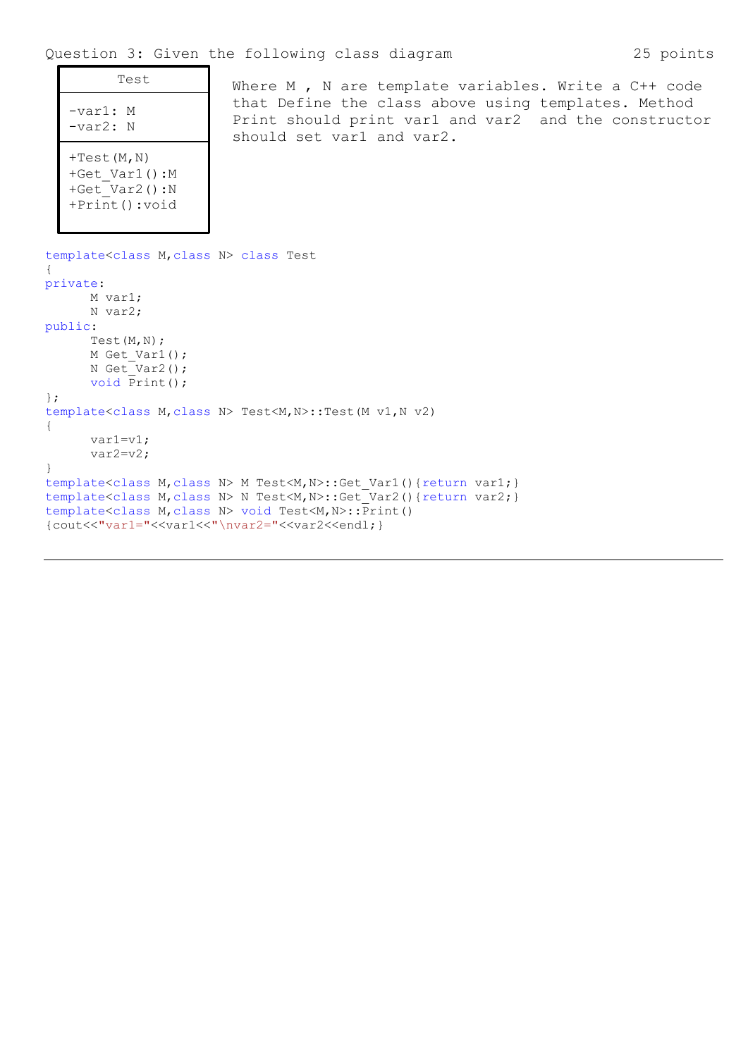| Test                                                                                         | Where M , N are template variables. Write a $C++$ code                                                                                   |
|----------------------------------------------------------------------------------------------|------------------------------------------------------------------------------------------------------------------------------------------|
| $-var1$ : M<br>$-var2$ : N                                                                   | that Define the class above using templates. Method<br>Print should print var1 and var2 and the constructo:<br>should set var1 and var2. |
| $+Test(M, N)$<br>+Get Var1():M<br>+Get Var2 $() : N$<br>$+Print()$ : void                    |                                                                                                                                          |
| template <class class="" m,="" n=""> class Test<br/>private:<br/>M var1:<br/>N var2;</class> |                                                                                                                                          |
| public:<br>Test $(M, N)$ ;<br>M Get Var1();<br>N Get Var2();                                 |                                                                                                                                          |
| void Print();<br>$\}$ ;                                                                      |                                                                                                                                          |
|                                                                                              | template <class class="" m,="" n=""> Test<m, n="">::Test(M v1, N v2)</m,></class>                                                        |
|                                                                                              |                                                                                                                                          |
| $var1=v1;$<br>$var2=v2;$                                                                     |                                                                                                                                          |
|                                                                                              |                                                                                                                                          |

} template<class M,class N> M Test<M,N>::Get\_Var1(){return var1;} template<class M, class N> N Test<M, N>::Get Var2(){return var2;} template<class M, class N> void Test<M, N>:: Print() {cout<<"var1="<<var1<<"\nvar2="<<var2<<endl;}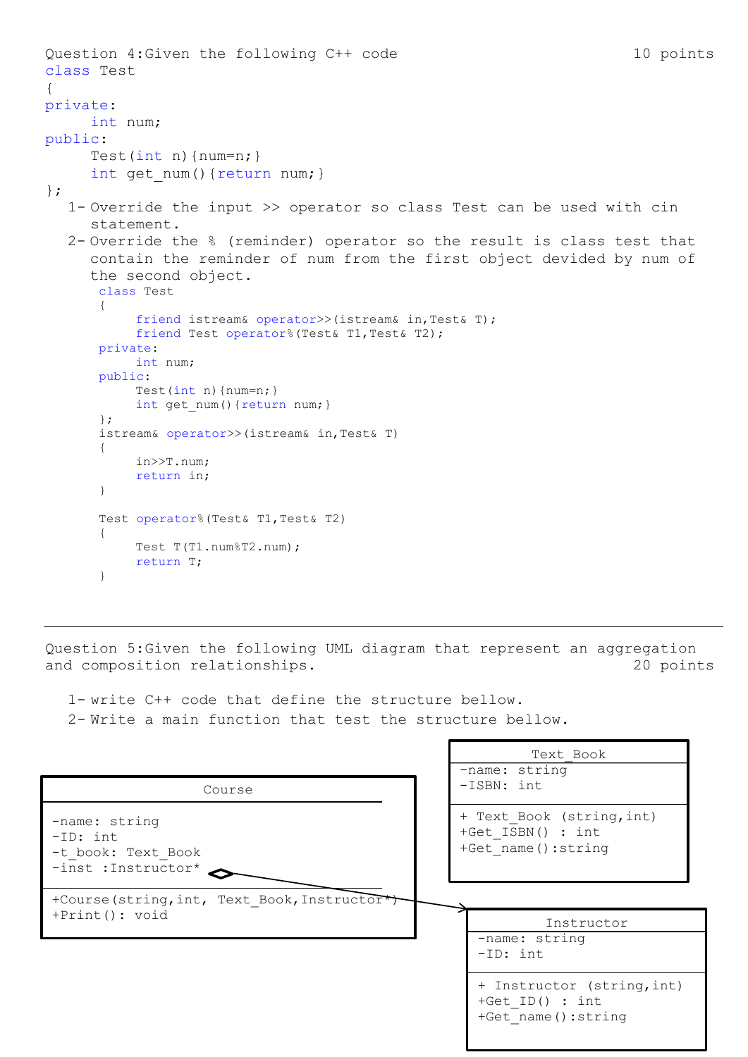```
Question 4:Given the following C++ code 10 points
class Test
{
private:
     int num;
public:
     Test(int n){num=n; }
     int get num() {return num; }
};
  1- Override the input >> operator so class Test can be used with cin 
     statement.
  2- Override the % (reminder) operator so the result is class test that 
     contain the reminder of num from the first object devided by num of 
     the second object.
      class Test
      {
          friend istream& operator>>(istream& in,Test& T);
          friend Test operator%(Test& T1,Test& T2);
      private:
          int num;
      public:
          Test(int n) {num=n; }
          int get num() {return num; }
      };
      istream& operator>>(istream& in,Test& T)
      {
          in>>T.num;
          return in;
      }
      Test operator% (Test& T1, Test& T2)
      {
          Test T(T1.num%T2.num);
          return T;
```
Question 5:Given the following UML diagram that represent an aggregation and composition relationships. The composition relationships.

г

Ш

1- write C++ code that define the structure bellow. 2- Write a main function that test the structure bellow.

}

|                                                                          | Text Book<br>$-$ name: string                                         |
|--------------------------------------------------------------------------|-----------------------------------------------------------------------|
| Course                                                                   | $-ISBN: int$                                                          |
| -name: string<br>$-ID: int$<br>-t book: Text Book<br>-inst : Instructor* | + Text Book (string, int)<br>+Get ISBN() : int<br>+Get name(): string |
| +Course (string, int, Text Book, Instructor*)<br>$+Print(): void$        | Instructor<br>-name: string<br>$-ID: int$                             |
|                                                                          | + Instructor (string, int)<br>+Get ID() : $int$                       |